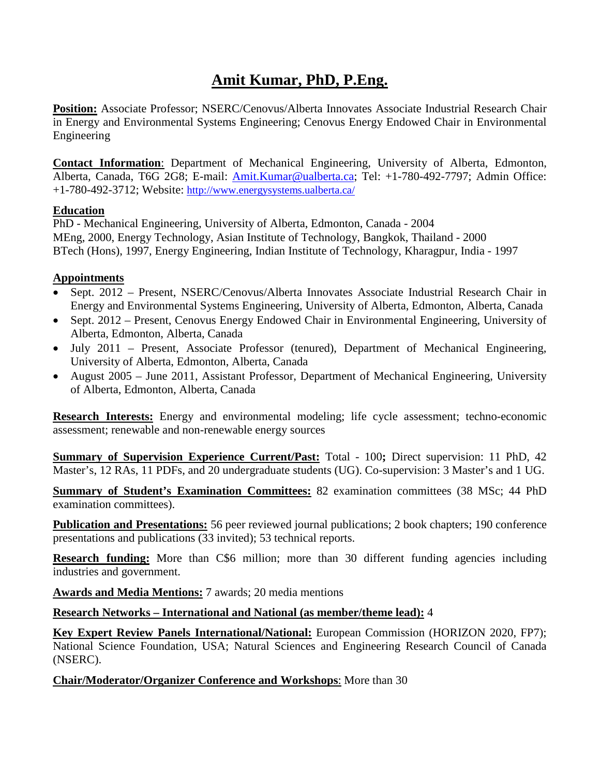# **Amit Kumar, PhD, P.Eng.**

**Position:** Associate Professor; NSERC/Cenovus/Alberta Innovates Associate Industrial Research Chair in Energy and Environmental Systems Engineering; Cenovus Energy Endowed Chair in Environmental Engineering

**Contact Information**: Department of Mechanical Engineering, University of Alberta, Edmonton, Alberta, Canada, T6G 2G8; E-mail: [Amit.Kumar@ualberta.ca;](mailto:Amit.Kumar@ualberta.ca) Tel: +1-780-492-7797; Admin Office: +1-780-492-3712; Website:<http://www.energysystems.ualberta.ca/>

## **Education**

PhD - Mechanical Engineering, University of Alberta, Edmonton, Canada - 2004 MEng, 2000, Energy Technology, Asian Institute of Technology, Bangkok, Thailand - 2000 BTech (Hons), 1997, Energy Engineering, Indian Institute of Technology, Kharagpur, India - 1997

## **Appointments**

- Sept. 2012 Present, NSERC/Cenovus/Alberta Innovates Associate Industrial Research Chair in Energy and Environmental Systems Engineering, University of Alberta, Edmonton, Alberta, Canada
- Sept. 2012 Present, Cenovus Energy Endowed Chair in Environmental Engineering, University of Alberta, Edmonton, Alberta, Canada
- July 2011 Present, Associate Professor (tenured), Department of Mechanical Engineering, University of Alberta, Edmonton, Alberta, Canada
- August 2005 June 2011, Assistant Professor, Department of Mechanical Engineering, University of Alberta, Edmonton, Alberta, Canada

**Research Interests:** Energy and environmental modeling; life cycle assessment; techno-economic assessment; renewable and non-renewable energy sources

**Summary of Supervision Experience Current/Past:** Total - 100**;** Direct supervision: 11 PhD, 42 Master's, 12 RAs, 11 PDFs, and 20 undergraduate students (UG). Co-supervision: 3 Master's and 1 UG.

**Summary of Student's Examination Committees:** 82 examination committees (38 MSc; 44 PhD examination committees).

**Publication and Presentations:** 56 peer reviewed journal publications; 2 book chapters; 190 conference presentations and publications (33 invited); 53 technical reports.

**Research funding:** More than C\$6 million; more than 30 different funding agencies including industries and government.

**Awards and Media Mentions:** 7 awards; 20 media mentions

**Research Networks – International and National (as member/theme lead):** 4

**Key Expert Review Panels International/National:** European Commission (HORIZON 2020, FP7); National Science Foundation, USA; Natural Sciences and Engineering Research Council of Canada (NSERC).

**Chair/Moderator/Organizer Conference and Workshops**: More than 30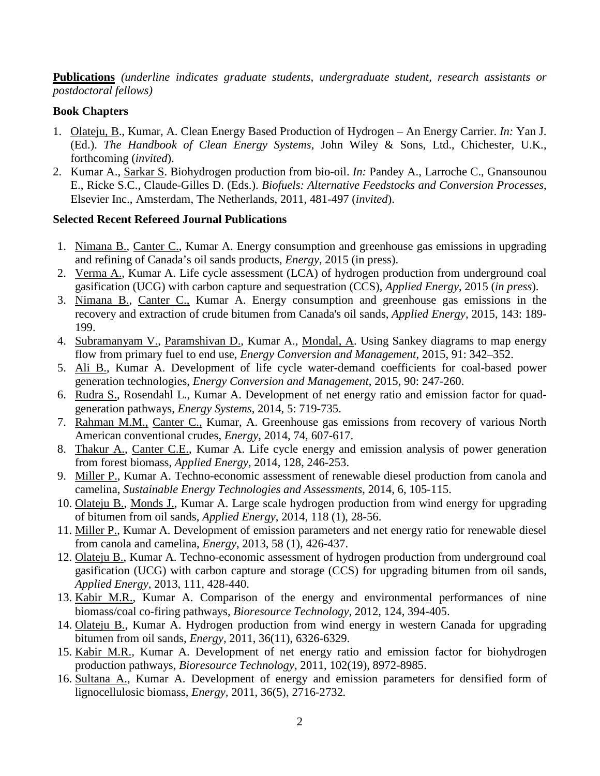**Publications** *(underline indicates graduate students, undergraduate student, research assistants or postdoctoral fellows)*

## **Book Chapters**

- 1. Olateju, B., Kumar, A. Clean Energy Based Production of Hydrogen An Energy Carrier. *In:* Yan J. (Ed.). *The Handbook of Clean Energy Systems*, John Wiley & Sons, Ltd., Chichester, U.K., forthcoming (*invited*).
- 2. Kumar A., Sarkar S. Biohydrogen production from bio-oil. *In:* Pandey A., Larroche C., Gnansounou E., Ricke S.C., Claude-Gilles D. (Eds.). *Biofuels: Alternative Feedstocks and Conversion Processes*, Elsevier Inc., Amsterdam, The Netherlands, 2011, 481-497 (*invited*).

## **Selected Recent Refereed Journal Publications**

- 1. Nimana B., Canter C., Kumar A. Energy consumption and greenhouse gas emissions in upgrading and refining of Canada's oil sands products, *Energy*, 2015 (in press).
- 2. Verma A., Kumar A. Life cycle assessment (LCA) of hydrogen production from underground coal gasification (UCG) with carbon capture and sequestration (CCS), *Applied Energy*, 2015 (*in press*).
- 3. Nimana B., Canter C., Kumar A. Energy consumption and greenhouse gas emissions in the recovery and extraction of crude bitumen from Canada's oil sands, *Applied Energy*, 2015, 143: 189- 199.
- 4. Subramanyam V., Paramshivan D., Kumar A., Mondal, A. Using Sankey diagrams to map energy flow from primary fuel to end use, *Energy Conversion and Management*, 2015, 91: 342–352.
- 5. Ali B., Kumar A. Development of life cycle water-demand coefficients for coal-based power generation technologies, *Energy Conversion and Management*, 2015, 90: 247-260.
- 6. Rudra S., Rosendahl L., Kumar A. Development of net energy ratio and emission factor for quadgeneration pathways, *Energy Systems*, 2014, 5: 719-735.
- 7. Rahman M.M., Canter C., Kumar, A. Greenhouse gas emissions from recovery of various North American conventional crudes, *Energy*, 2014, 74, 607-617.
- 8. Thakur A., Canter C.E., Kumar A. Life cycle energy and emission analysis of power generation from forest biomass, *Applied Energy,* 2014, 128, 246-253.
- 9. Miller P., Kumar A. Techno-economic assessment of renewable diesel production from canola and camelina, *Sustainable Energy Technologies and Assessments*, 2014, 6, 105-115.
- 10. Olateju B., Monds J., Kumar A. Large scale hydrogen production from wind energy for upgrading of bitumen from oil sands, *Applied Energy*, 2014, 118 (1), 28-56.
- 11. Miller P., Kumar A. Development of emission parameters and net energy ratio for renewable diesel from canola and camelina, *Energy*, 2013, 58 (1), 426-437.
- 12. Olateju B., Kumar A. Techno-economic assessment of hydrogen production from underground coal gasification (UCG) with carbon capture and storage (CCS) for upgrading bitumen from oil sands, *Applied Energy,* 2013, 111, 428-440.
- 13. Kabir M.R., Kumar A. Comparison of the energy and environmental performances of nine biomass/coal co-firing pathways, *Bioresource Technology*, 2012, 124, 394-405.
- 14. Olateju B., Kumar A. Hydrogen production from wind energy in western Canada for upgrading bitumen from oil sands, *Energy,* 2011, 36(11), 6326-6329.
- 15. Kabir M.R., Kumar A. Development of net energy ratio and emission factor for biohydrogen production pathways, *Bioresource Technology,* 2011, 102(19), 8972-8985.
- 16. Sultana A., Kumar A. Development of energy and emission parameters for densified form of lignocellulosic biomass, *Energy,* 2011, 36(5), 2716-2732*.*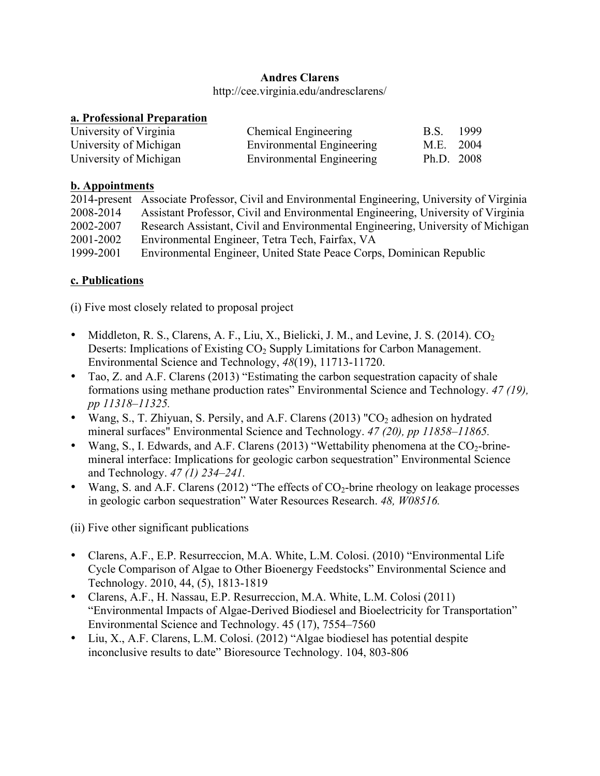## **Andres Clarens**

http://cee.virginia.edu/andresclarens/

## **a. Professional Preparation**

| University of Virginia | <b>Chemical Engineering</b>      | <b>B.S.</b> | 1999 |
|------------------------|----------------------------------|-------------|------|
| University of Michigan | Environmental Engineering        | M.E. 2004   |      |
| University of Michigan | <b>Environmental Engineering</b> | Ph.D. 2008  |      |

#### **b. Appointments**

|           | 2014-present Associate Professor, Civil and Environmental Engineering, University of Virginia |
|-----------|-----------------------------------------------------------------------------------------------|
| 2008-2014 | Assistant Professor, Civil and Environmental Engineering, University of Virginia              |
| 2002-2007 | Research Assistant, Civil and Environmental Engineering, University of Michigan               |
| 2001-2002 | Environmental Engineer, Tetra Tech, Fairfax, VA                                               |
| 1999-2001 | Environmental Engineer, United State Peace Corps, Dominican Republic                          |

## **c. Publications**

(i) Five most closely related to proposal project

- Middleton, R. S., Clarens, A. F., Liu, X., Bielicki, J. M., and Levine, J. S. (2014).  $CO<sub>2</sub>$ Deserts: Implications of Existing  $CO<sub>2</sub>$  Supply Limitations for Carbon Management. Environmental Science and Technology, *48*(19), 11713-11720.
- Tao, Z. and A.F. Clarens (2013) "Estimating the carbon sequestration capacity of shale formations using methane production rates" Environmental Science and Technology. *47 (19), pp 11318–11325.*
- Wang, S., T. Zhiyuan, S. Persily, and A.F. Clarens (2013) "CO<sub>2</sub> adhesion on hydrated mineral surfaces" Environmental Science and Technology. *47 (20), pp 11858–11865.*
- Wang, S., I. Edwards, and A.F. Clarens (2013) "Wettability phenomena at the  $CO<sub>2</sub>$ -brinemineral interface: Implications for geologic carbon sequestration" Environmental Science and Technology. *47 (1) 234–241.*
- Wang, S. and A.F. Clarens (2012) "The effects of  $CO<sub>2</sub>$ -brine rheology on leakage processes in geologic carbon sequestration" Water Resources Research. *48, W08516.*

(ii) Five other significant publications

- Clarens, A.F., E.P. Resurreccion, M.A. White, L.M. Colosi. (2010) "Environmental Life Cycle Comparison of Algae to Other Bioenergy Feedstocks" Environmental Science and Technology. 2010, 44, (5), 1813-1819
- Clarens, A.F., H. Nassau, E.P. Resurreccion, M.A. White, L.M. Colosi (2011) "Environmental Impacts of Algae-Derived Biodiesel and Bioelectricity for Transportation" Environmental Science and Technology. 45 (17), 7554–7560
- Liu, X., A.F. Clarens, L.M. Colosi. (2012) "Algae biodiesel has potential despite inconclusive results to date" Bioresource Technology. 104, 803-806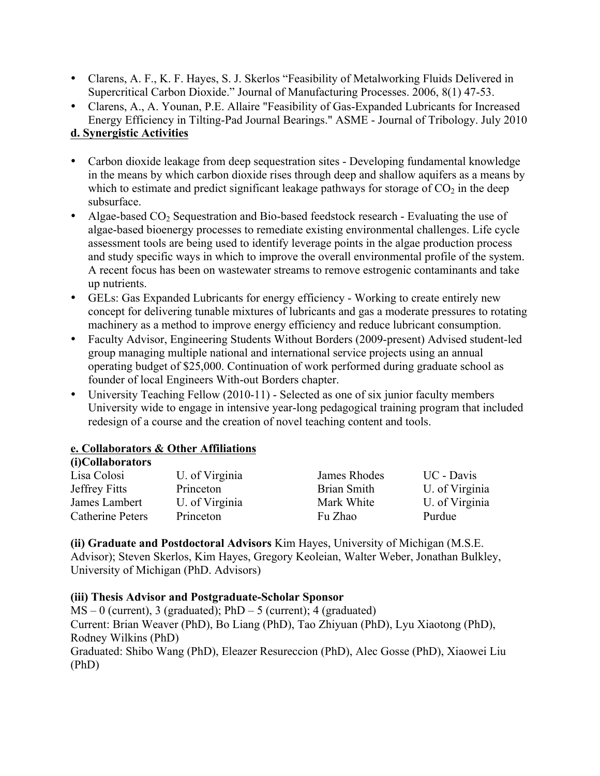- Clarens, A. F., K. F. Hayes, S. J. Skerlos "Feasibility of Metalworking Fluids Delivered in Supercritical Carbon Dioxide." Journal of Manufacturing Processes. 2006, 8(1) 47-53.
- Clarens, A., A. Younan, P.E. Allaire "Feasibility of Gas-Expanded Lubricants for Increased Energy Efficiency in Tilting-Pad Journal Bearings." ASME - Journal of Tribology. July 2010

# **d. Synergistic Activities**

- Carbon dioxide leakage from deep sequestration sites Developing fundamental knowledge in the means by which carbon dioxide rises through deep and shallow aquifers as a means by which to estimate and predict significant leakage pathways for storage of  $CO<sub>2</sub>$  in the deep subsurface.
- Algae-based  $CO<sub>2</sub>$  Sequestration and Bio-based feedstock research Evaluating the use of algae-based bioenergy processes to remediate existing environmental challenges. Life cycle assessment tools are being used to identify leverage points in the algae production process and study specific ways in which to improve the overall environmental profile of the system. A recent focus has been on wastewater streams to remove estrogenic contaminants and take up nutrients.
- GELs: Gas Expanded Lubricants for energy efficiency Working to create entirely new concept for delivering tunable mixtures of lubricants and gas a moderate pressures to rotating machinery as a method to improve energy efficiency and reduce lubricant consumption.
- Faculty Advisor, Engineering Students Without Borders (2009-present) Advised student-led group managing multiple national and international service projects using an annual operating budget of \$25,000. Continuation of work performed during graduate school as founder of local Engineers With-out Borders chapter.
- University Teaching Fellow (2010-11) Selected as one of six junior faculty members University wide to engage in intensive year-long pedagogical training program that included redesign of a course and the creation of novel teaching content and tools.

# **e. Collaborators & Other Affiliations**

## **(i)Collaborators**

| Lisa Colosi      | U. of Virginia | James Rhodes | UC - Davis     |
|------------------|----------------|--------------|----------------|
| Jeffrey Fitts    | Princeton      | Brian Smith  | U. of Virginia |
| James Lambert    | U. of Virginia | Mark White   | U. of Virginia |
| Catherine Peters | Princeton      | Fu Zhao      | Purdue         |

**(ii) Graduate and Postdoctoral Advisors** Kim Hayes, University of Michigan (M.S.E. Advisor); Steven Skerlos, Kim Hayes, Gregory Keoleian, Walter Weber, Jonathan Bulkley, University of Michigan (PhD. Advisors)

# **(iii) Thesis Advisor and Postgraduate-Scholar Sponsor**

 $MS - 0$  (current), 3 (graduated); PhD – 5 (current); 4 (graduated) Current: Brian Weaver (PhD), Bo Liang (PhD), Tao Zhiyuan (PhD), Lyu Xiaotong (PhD), Rodney Wilkins (PhD) Graduated: Shibo Wang (PhD), Eleazer Resureccion (PhD), Alec Gosse (PhD), Xiaowei Liu (PhD)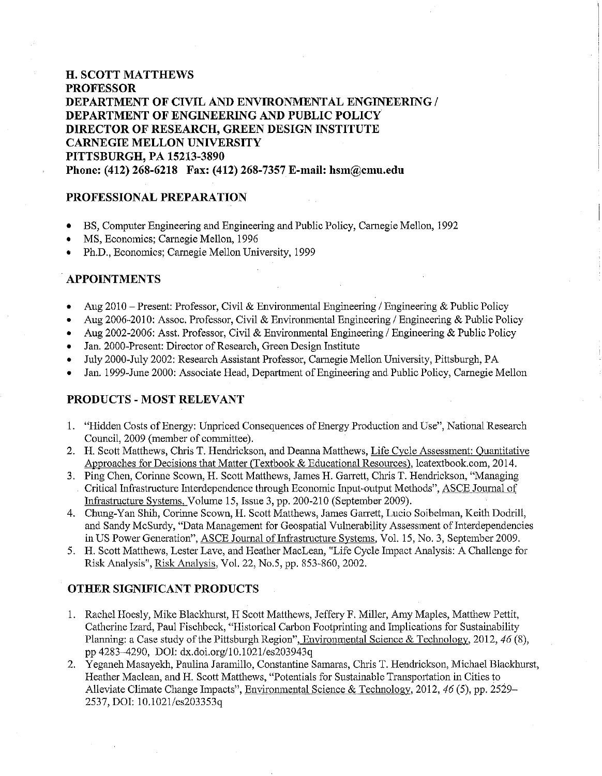## **H. SCOTT MATTHEWS PROFESSOR** DEPARTMENT OF CIVIL AND ENVIRONMENTAL ENGINEERING / DEPARTMENT OF ENGINEERING AND PUBLIC POLICY DIRECTOR OF RESEARCH, GREEN DESIGN INSTITUTE **CARNEGIE MELLON UNIVERSITY** PITTSBURGH, PA 15213-3890 Phone: (412) 268-6218 Fax: (412) 268-7357 E-mail: hsm@cmu.edu

#### PROFESSIONAL PREPARATION

- BS, Computer Engineering and Engineering and Public Policy, Carnegie Mellon, 1992
- MS, Economics; Carnegie Mellon, 1996
- Ph.D., Economics: Carnegie Mellon University, 1999

#### **APPOINTMENTS**

- Aug 2010 Present: Professor, Civil & Environmental Engineering / Engineering & Public Policy
- Aug 2006-2010: Assoc. Professor, Civil & Environmental Engineering / Engineering & Public Policy
- Aug 2002-2006: Asst. Professor, Civil & Environmental Engineering / Engineering & Public Policy
- Jan. 2000-Present: Director of Research, Green Design Institute
- July 2000-July 2002: Research Assistant Professor, Carnegie Mellon University, Pittsburgh, PA
- Jan. 1999-June 2000: Associate Head, Department of Engineering and Public Policy, Carnegie Mellon

## PRODUCTS - MOST RELEVANT

- 1. "Hidden Costs of Energy: Unpriced Consequences of Energy Production and Use", National Research Council, 2009 (member of committee).
- 2. H. Scott Matthews, Chris T. Hendrickson, and Deanna Matthews, Life Cycle Assessment: Quantitative Approaches for Decisions that Matter (Textbook & Educational Resources), lcatextbook.com, 2014.
- 3. Ping Chen, Corinne Scown, H. Scott Matthews, James H. Garrett, Chris T. Hendrickson, "Managing" Critical Infrastructure Interdependence through Economic Input-output Methods", ASCE Journal of Infrastructure Systems, Volume 15, Issue 3, pp. 200-210 (September 2009).
- 4. Chung-Yan Shih, Corinne Scown, H. Scott Matthews, James Garrett, Lucio Soibelman, Keith Dodrill, and Sandy McSurdy, "Data Management for Geospatial Vulnerability Assessment of Interdependencies in US Power Generation", ASCE Journal of Infrastructure Systems, Vol. 15, No. 3, September 2009.
- 5. H. Scott Matthews, Lester Lave, and Heather MacLean, "Life Cycle Impact Analysis: A Challenge for Risk Analysis", Risk Analysis, Vol. 22, No.5, pp. 853-860, 2002.

#### OTHER SIGNIFICANT PRODUCTS

- 1. Rachel Hoesly, Mike Blackhurst, H Scott Matthews, Jeffery F. Miller, Amy Maples, Matthew Pettit, Catherine Izard, Paul Fischbeck, "Historical Carbon Footprinting and Implications for Sustainability Planning: a Case study of the Pittsburgh Region", Environmental Science & Technology, 2012, 46(8), pp 4283-4290, DOI: dx.doi.org/10.1021/es203943q
- 2. Yeganeh Masayekh, Paulina Jaramillo, Constantine Samaras, Chris T. Hendrickson, Michael Blackhurst, Heather Maclean, and H. Scott Matthews, "Potentials for Sustainable Transportation in Cities to Alleviate Climate Change Impacts", Environmental Science & Technology, 2012, 46 (5), pp. 2529-2537, DOI: 10.1021/es203353q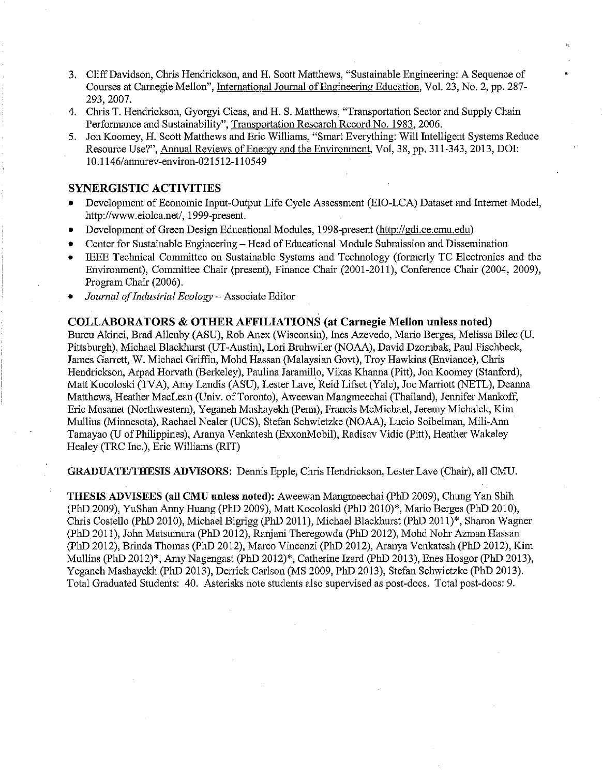- 3. Cliff Davidson, Chris Hendrickson, and H. Scott Matthews, "Sustainable Engineering: A Sequence of Courses at Carnegie Mellon", International Journal of Engineering Education, Vol. 23, No. 2, pp. 287-293, 2007.
- 4. Chris T. Hendrickson, Gyorgyi Cicas, and H. S. Matthews, "Transportation Sector and Supply Chain Performance and Sustainability", Transportation Research Record No. 1983, 2006.
- 5. Jon Koomey, H. Scott Matthews and Eric Williams, "Smart Everything: Will Intelligent Systems Reduce Resource Use?", Annual Reviews of Energy and the Environment, Vol. 38, pp. 311-343, 2013, DOI: 10.1146/annurev-environ-021512-110549

#### **SYNERGISTIC ACTIVITIES**

- Development of Economic Input-Output Life Cycle Assessment (EIO-LCA) Dataset and Internet Model, http://www.eiolca.net/, 1999-present.
- Development of Green Design Educational Modules, 1998-present (http://gdi.ce.cmu.edu)  $\bullet$
- Center for Sustainable Engineering Head of Educational Module Submission and Dissemination ò
- IEEE Technical Committee on Sustainable Systems and Technology (formerly TC Electronics and the Environment), Committee Chair (present), Finance Chair (2001-2011), Conference Chair (2004, 2009), Program Chair (2006).
- Journal of Industrial Ecology Associate Editor

#### **COLLABORATORS & OTHER AFFILIATIONS (at Carnegie Mellon unless noted)**

Burcu Akinci, Brad Allenby (ASU), Rob Anex (Wisconsin), Ines Azevedo, Mario Berges, Melissa Bilec (U. Pittsburgh), Michael Blackhurst (UT-Austin), Lori Bruhwiler (NOAA), David Dzombak, Paul Fischbeck, James Garrett, W. Michael Griffin, Mohd Hassan (Malaysian Goyt), Troy Hawkins (Enviance), Chris Hendrickson, Arpad Horvath (Berkeley), Paulina Jaramillo, Vikas Khanna (Pitt), Jon Koomey (Stanford), Matt Kocoloski (TVA), Amy Landis (ASU), Lester Lave, Reid Lifset (Yale), Joe Marriott (NETL), Deanna Matthews, Heather MacLean (Univ. of Toronto), Aweewan Mangmeechai (Thailand), Jennifer Mankoff, Eric Masanet (Northwestern), Yeganeh Mashayekh (Penn), Francis McMichael, Jeremy Michalek, Kim Mullins (Minnesota), Rachael Nealer (UCS), Stefan Schwietzke (NOAA), Lucio Soibelman, Mili-Ann Tamayao (U of Philippines), Aranya Venkatesh (ExxonMobil), Radisav Vidic (Pitt), Heather Wakeley Healey (TRC Inc.), Eric Williams (RIT)

**GRADUATE/THESIS ADVISORS:** Dennis Epple, Chris Hendrickson, Lester Lave (Chair), all CMU.

THESIS ADVISEES (all CMU unless noted): Aweewan Mangmeechai (PhD 2009), Chung Yan Shih (PhD 2009), YuShan Anny Huang (PhD 2009), Matt Kocoloski (PhD 2010)\*, Mario Berges (PhD 2010), Chris Costello (PhD 2010), Michael Bigrigg (PhD 2011), Michael Blackhurst (PhD 2011)\*, Sharon Wagner (PhD 2011), John Matsumura (PhD 2012), Ranjani Theregowda (PhD 2012), Mohd Nohr Azman Hassan (PhD 2012), Brinda Thomas (PhD 2012), Marco Vincenzi (PhD 2012), Aranya Venkatesh (PhD 2012), Kim Mullins (PhD 2012)\*, Amy Nagengast (PhD 2012)\*, Catherine Izard (PhD 2013), Enes Hosgor (PhD 2013), Yeganeh Mashayekh (PhD 2013), Derrick Carlson (MS 2009, PhD 2013), Stefan Schwietzke (PhD 2013). Total Graduated Students: 40. Asterisks note students also supervised as post-docs. Total post-docs: 9.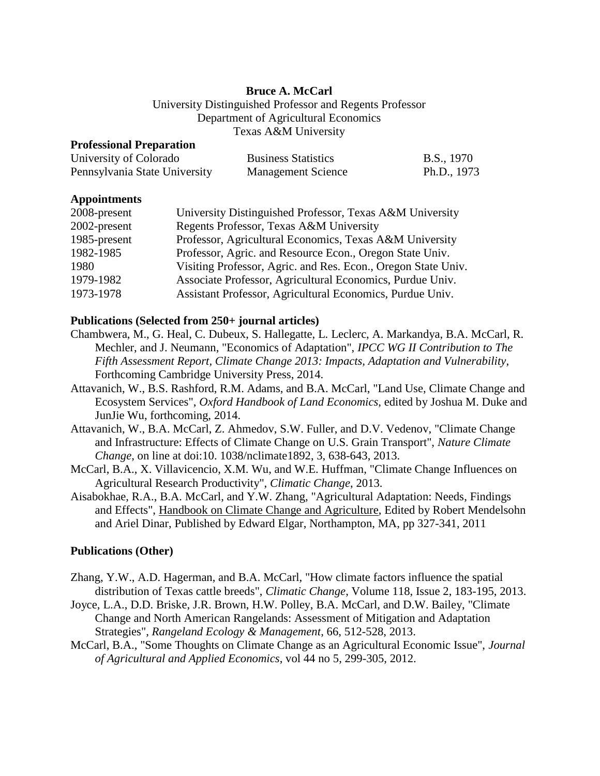#### **Bruce A. McCarl**

University Distinguished Professor and Regents Professor Department of Agricultural Economics Texas A&M University

#### **Professional Preparation**

| University of Colorado        | <b>Business Statistics</b> | B.S., 1970  |
|-------------------------------|----------------------------|-------------|
| Pennsylvania State University | <b>Management Science</b>  | Ph.D., 1973 |

#### **Appointments**

| 2008-present | University Distinguished Professor, Texas A&M University      |
|--------------|---------------------------------------------------------------|
| 2002-present | Regents Professor, Texas A&M University                       |
| 1985-present | Professor, Agricultural Economics, Texas A&M University       |
| 1982-1985    | Professor, Agric. and Resource Econ., Oregon State Univ.      |
| 1980         | Visiting Professor, Agric. and Res. Econ., Oregon State Univ. |
| 1979-1982    | Associate Professor, Agricultural Economics, Purdue Univ.     |
| 1973-1978    | Assistant Professor, Agricultural Economics, Purdue Univ.     |

#### **Publications (Selected from 250+ journal articles)**

- Chambwera, M., G. Heal, C. Dubeux, S. Hallegatte, L. Leclerc, A. Markandya, B.A. McCarl, R. Mechler, and J. Neumann, "Economics of Adaptation", *IPCC WG II Contribution to The Fifth Assessment Report, Climate Change 2013: Impacts, Adaptation and Vulnerability*, Forthcoming Cambridge University Press, 2014.
- Attavanich, W., B.S. Rashford, R.M. Adams, and B.A. McCarl, "Land Use, Climate Change and Ecosystem Services", *Oxford Handbook of Land Economics*, edited by Joshua M. Duke and JunJie Wu, forthcoming, 2014.
- Attavanich, W., B.A. McCarl, Z. Ahmedov, S.W. Fuller, and D.V. Vedenov, "Climate Change and Infrastructure: Effects of Climate Change on U.S. Grain Transport", *Nature Climate Change*, on line at doi:10. 1038/nclimate1892, 3, 638-643, 2013.
- McCarl, B.A., X. Villavicencio, X.M. Wu, and W.E. Huffman, "Climate Change Influences on Agricultural Research Productivity", *Climatic Change*, 2013.
- Aisabokhae, R.A., B.A. McCarl, and Y.W. Zhang, "Agricultural Adaptation: Needs, Findings and Effects", Handbook on Climate Change and Agriculture, Edited by Robert Mendelsohn and Ariel Dinar, Published by Edward Elgar, Northampton, MA, pp 327-341, 2011

#### **Publications (Other)**

- Zhang, Y.W., A.D. Hagerman, and B.A. McCarl, "How climate factors influence the spatial distribution of Texas cattle breeds", *Climatic Change*, Volume 118, Issue 2, 183-195, 2013.
- Joyce, L.A., D.D. Briske, J.R. Brown, H.W. Polley, B.A. McCarl, and D.W. Bailey, "Climate Change and North American Rangelands: Assessment of Mitigation and Adaptation Strategies", *Rangeland Ecology & Management*, 66, 512-528, 2013.
- McCarl, B.A., "Some Thoughts on Climate Change as an Agricultural Economic Issue", *Journal of Agricultural and Applied Economics*, vol 44 no 5, 299-305, 2012.